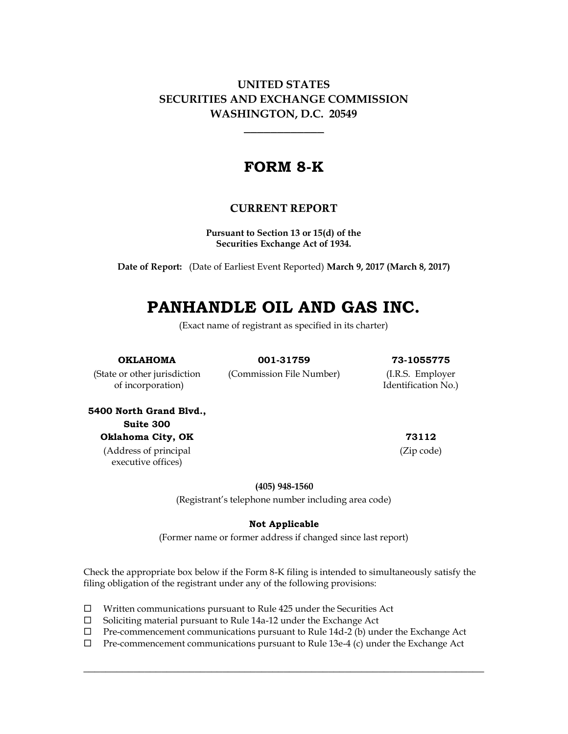## **UNITED STATES SECURITIES AND EXCHANGE COMMISSION WASHINGTON, D.C. 20549**

## **FORM 8-K**

## **CURRENT REPORT**

**Pursuant to Section 13 or 15(d) of the Securities Exchange Act of 1934.**

**Date of Report:** (Date of Earliest Event Reported) **March 9, 2017 (March 8, 2017)**

# **PANHANDLE OIL AND GAS INC.**

(Exact name of registrant as specified in its charter)

**OKLAHOMA 001-31759 73-1055775**

(State or other jurisdiction (Commission File Number) (I.R.S. Employer of incorporation) Identification No.)

**5400 North Grand Blvd., Suite 300 Oklahoma City, OK 73112** (Address of principal

executive offices)

(Zip code)

**(405) 948-1560**

(Registrant's telephone number including area code)

#### **Not Applicable**

(Former name or former address if changed since last report)

Check the appropriate box below if the Form 8-K filing is intended to simultaneously satisfy the filing obligation of the registrant under any of the following provisions:

- $\Box$  Written communications pursuant to Rule 425 under the Securities Act
- $\square$  Soliciting material pursuant to Rule 14a-12 under the Exchange Act
- $\Box$  Pre-commencement communications pursuant to Rule 14d-2 (b) under the Exchange Act
- $\Box$  Pre-commencement communications pursuant to Rule 13e-4 (c) under the Exchange Act

 $\_$  , and the set of the set of the set of the set of the set of the set of the set of the set of the set of the set of the set of the set of the set of the set of the set of the set of the set of the set of the set of th